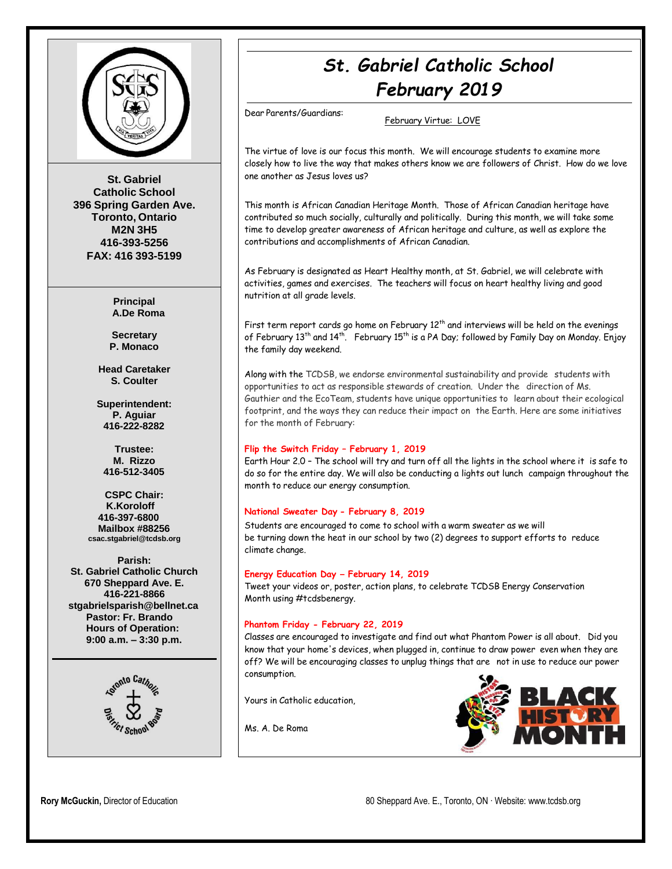

**St. Gabriel Catholic School 396 Spring Garden Ave. Toronto, Ontario M2N 3H5 416-393-5256 FAX: 416 393-5199**

> **Principal A.De Roma**

**Secretary P. Monaco**

**Head Caretaker S. Coulter**

**Superintendent: P. Aguiar 416-222-8282**

**Trustee: M. Rizzo 416-512-3405**

**CSPC Chair: K.Koroloff 416-397-6800 Mailbox #88256 [csac.stgabriel@tcdsb.org](mailto:csac.stgabriel@tcdsb.org)**

**Parish: St. Gabriel Catholic Church 670 Sheppard Ave. E. 416-221-8866 [stgabrielsparish@bellnet.ca](mailto:stgabrielsparish@bellnet.ca) Pastor: Fr. Brando Hours of Operation: 9:00 a.m. – 3:30 p.m.**



# *St. Gabriel Catholic School February 2019*

Dear Parents/Guardians:

February Virtue: LOVE

The virtue of love is our focus this month. We will encourage students to examine more closely how to live the way that makes others know we are followers of Christ. How do we love one another as Jesus loves us?

This month is African Canadian Heritage Month. Those of African Canadian heritage have contributed so much socially, culturally and politically. During this month, we will take some time to develop greater awareness of African heritage and culture, as well as explore the contributions and accomplishments of African Canadian.

As February is designated as Heart Healthy month, at St. Gabriel, we will celebrate with activities, games and exercises. The teachers will focus on heart healthy living and good nutrition at all grade levels.

First term report cards go home on February  $12^{th}$  and interviews will be held on the evenings of February 13<sup>th</sup> and 14<sup>th</sup>. February 15<sup>th</sup> is a PA Day; followed by Family Day on Monday. Enjoy the family day weekend.

Along with the TCDSB, we endorse environmental sustainability and provide students with opportunities to act as responsible stewards of creation. Under the direction of Ms. Gauthier and the EcoTeam, students have unique opportunities to learn about their ecological footprint, and the ways they can reduce their impact on the Earth. Here are some initiatives for the month of February:

#### **Flip the Switch Friday – February 1, 2019**

Earth Hour 2.0 – The school will try and turn off all the lights in the school where it is safe to do so for the entire day. We will also be conducting a lights out lunch campaign throughout the month to reduce our energy consumption.

#### **National Sweater Day - February 8, 2019**

Students are encouraged to come to school with a warm sweater as we will be turning down the heat in our school by two (2) degrees to support efforts to reduce climate change.

#### **Energy Education Day – February 14, 2019**

Tweet your videos or, poster, action plans, to celebrate TCDSB Energy Conservation Month using #tcdsbenergy.

#### **Phantom Friday - February 22, 2019**

Classes are encouraged to investigate and find out what Phantom Power is all about. Did you know that your home's devices, when plugged in, continue to draw power even when they are off? We will be encouraging classes to unplug things that are not in use to reduce our power consumption.

Yours in Catholic education,

Ms. A. De Roma

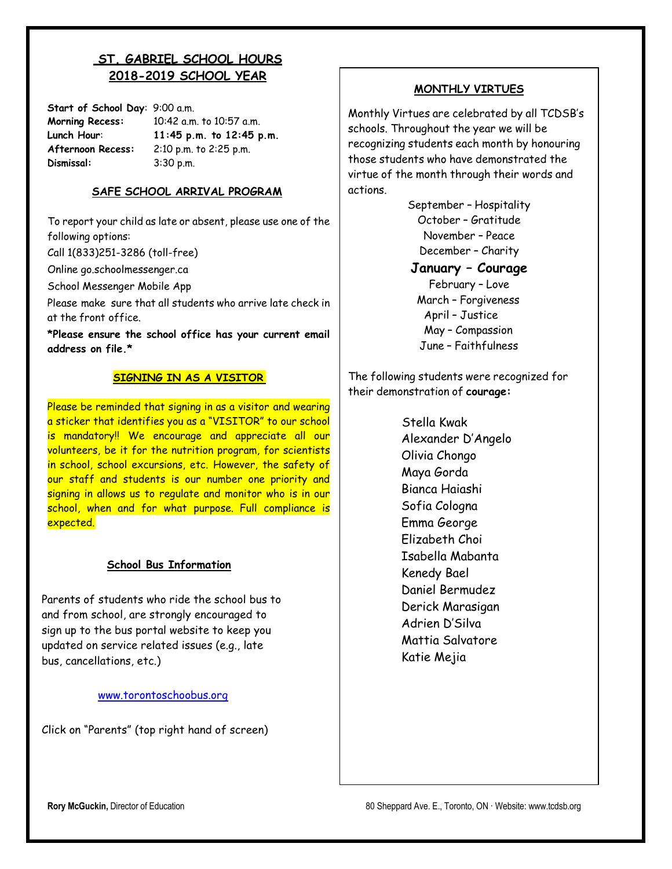# **ST. GABRIEL SCHOOL HOURS 2018-2019 SCHOOL YEAR**

**Start of School Day**: 9:00 a.m. **Morning Recess:** 10:42 a.m. to 10:57 a.m. **Lunch Hour**: **11:45 p.m. to 12:45 p.m. Afternoon Recess:** 2:10 p.m. to 2:25 p.m. **Dismissal:** 3:30 p.m.

#### **SAFE SCHOOL ARRIVAL PROGRAM**

To report your child as late or absent, please use one of the following options:

Call 1(833)251-3286 (toll-free)

Online go.schoolmessenger.ca

School Messenger Mobile App

Please make sure that all students who arrive late check in at the front office.

**\*Please ensure the school office has your current email address on file.\***

#### **SIGNING IN AS A VISITOR**

Please be reminded that signing in as a visitor and wearing a sticker that identifies you as a "VISITOR" to our school is mandatory!! We encourage and appreciate all our volunteers, be it for the nutrition program, for scientists in school, school excursions, etc. However, the safety of our staff and students is our number one priority and signing in allows us to regulate and monitor who is in our school, when and for what purpose. Full compliance is expected.

#### **School Bus Information**

Parents of students who ride the school bus to and from school, are strongly encouraged to sign up to the bus portal website to keep you updated on service related issues (e.g., late bus, cancellations, etc.)

#### [www.torontoschoobus.org](http://www.torontoschoobus.org/)

Click on "Parents" (top right hand of screen)

## **MONTHLY VIRTUES**

Monthly Virtues are celebrated by all TCDSB's schools. Throughout the year we will be recognizing students each month by honouring those students who have demonstrated the virtue of the month through their words and actions.

> September – Hospitality October – Gratitude November – Peace December – Charity

**January – Courage**

February – Love March – Forgiveness April – Justice May – Compassion June – Faithfulness

The following students were recognized for their demonstration of **courage:**

> Stella Kwak Alexander D'Angelo Olivia Chongo Maya Gorda Bianca Haiashi Sofia Cologna Emma George Elizabeth Choi Isabella Mabanta Kenedy Bael Daniel Bermudez Derick Marasigan Adrien D'Silva Mattia Salvatore Katie Mejia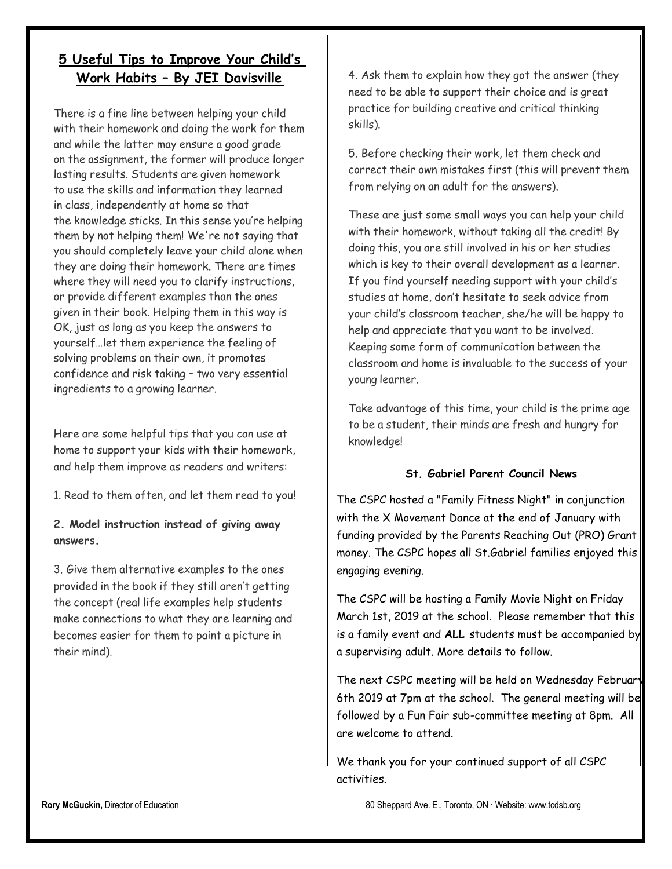# **5 Useful Tips to Improve Your Child's Work Habits – By JEI Davisville**

There is a fine line between helping your child with their homework and doing the work for them and while the latter may ensure a good grade on the assignment, the former will produce longer lasting results. Students are given homework to use the skills and information they learned in class, independently at home so that the knowledge sticks. In this sense you're helping them by not helping them! We're not saying that you should completely leave your child alone when they are doing their homework. There are times where they will need you to clarify instructions, or provide different examples than the ones given in their book. Helping them in this way is OK, just as long as you keep the answers to yourself…let them experience the feeling of solving problems on their own, it promotes confidence and risk taking – two very essential ingredients to a growing learner.

Here are some helpful tips that you can use at home to support your kids with their homework, and help them improve as readers and writers:

1. Read to them often, and let them read to you!

# **2. Model instruction instead of giving away answers.**

3. Give them alternative examples to the ones provided in the book if they still aren't getting the concept (real life examples help students make connections to what they are learning and becomes easier for them to paint a picture in their mind).

4. Ask them to explain how they got the answer (they need to be able to support their choice and is great practice for building creative and critical thinking skills).

5. Before checking their work, let them check and correct their own mistakes first (this will prevent them from relying on an adult for the answers).

These are just some small ways you can help your child with their homework, without taking all the credit! By doing this, you are still involved in his or her studies which is key to their overall development as a learner. If you find yourself needing support with your child's studies at home, don't hesitate to seek advice from your child's classroom teacher, she/he will be happy to help and appreciate that you want to be involved. Keeping some form of communication between the classroom and home is invaluable to the success of your young learner.

Take advantage of this time, your child is the prime age to be a student, their minds are fresh and hungry for knowledge!

### **St. Gabriel Parent Council News**

The CSPC hosted a "Family Fitness Night" in conjunction with the X Movement Dance at the end of January with funding provided by the Parents Reaching Out (PRO) Grant money. The CSPC hopes all St.Gabriel families enjoyed this engaging evening.

The CSPC will be hosting a Family Movie Night on Friday March 1st, 2019 at the school. Please remember that this is a family event and **ALL** students must be accompanied by a supervising adult. More details to follow.

The next CSPC meeting will be held on Wednesday February 6th 2019 at 7pm at the school. The general meeting will be followed by a Fun Fair sub-committee meeting at 8pm. All are welcome to attend.

We thank you for your continued support of all CSPC activities.

**Rory McGuckin,** Director of Education 80 Sheppard Ave. E., Toronto, ON ⋅ Website: [www.tcdsb.org](http://www.tcdsb.org/)